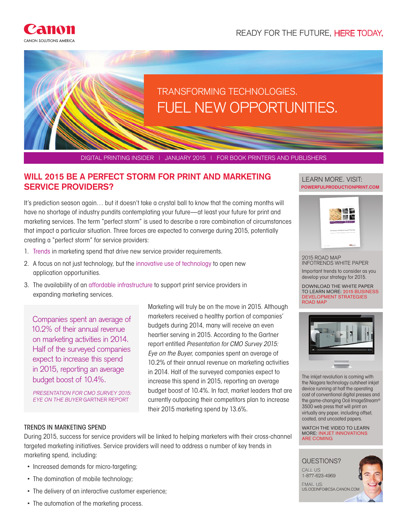





DIGITAL PRINTING INSIDER | JANUARY 2015 | FOR BOOK PRINTERS AND PUBLISHERS

# **WILL 2015 BE A PERFECT STORM FOR PRINT AND MARKETING ILLEARN MORE. VISIT: SERVICE PROVIDERS?**

It's prediction season again… but it doesn't take a crystal ball to know that the coming months will have no shortage of industry pundits contemplating your future—at least your future for print and marketing services. The term "perfect storm" is used to describe a rare combination of circumstances that impact a particular situation. Three forces are expected to converge during 2015, potentially creating a "perfect storm" for service providers:

- 1. Trends in marketing spend that drive new service provider requirements.
- 2. A focus on not just technology, but the innovative use of technology to open new application opportunities.
- 3. The availability of an affordable infrastructure to support print service providers in expanding marketing services.

Companies spent an average of 10.2% of their annual revenue on marketing activities in 2014. Half of the surveyed companies expect to increase this spend in 2015, reporting an average budget boost of 10.4%.

PRESENTATION FOR CMO SURVEY 2015: EYE ON THE BUYER GARTNER REPORT

Marketing will truly be on the move in 2015. Although marketers received a healthy portion of companies' budgets during 2014, many will receive an even heartier serving in 2015. According to the Gartner report entitled Presentation for CMO Survey 2015: Eye on the Buyer, companies spent an average of 10.2% of their annual revenue on marketing activities in 2014. Half of the surveyed companies expect to increase this spend in 2015, reporting an average budget boost of 10.4%. In fact, market leaders that are currently outpacing their competitors plan to increase their 2015 marketing spend by 13.6%.

# **POWERFULPRODUCTIONPRINT.COM**



2015 ROAD MAP INFOTRENDS WHITE PAPER Important trends to consider as you develop your strategy for 2015.

DOWNLOAD THE WHITE PAPER TO LEARN MORE: 2015 BUSINESS DEVELOPMENT STRATEGIES ROAD MAP



The inkjet revolution is coming with the Niagara technology cutsheet inkjet device running at half the operating cost of conventional digital presses and the game-changing Océ ImageStream® 3500 web press that will print on virtually any paper, including offset, coated, and uncoated papers.

WATCH THE VIDEO TO LEARN MORE: INKJET INNOVATIONS ARE COMING



## TRENDS IN MARKETING SPEND

During 2015, success for service providers will be linked to helping marketers with their cross-channel targeted marketing initiatives. Service providers will need to address a number of key trends in marketing spend, including:

- Increased demands for micro-targeting;
- The domination of mobile technology;
- The delivery of an interactive customer experience;
- The automation of the marketing process.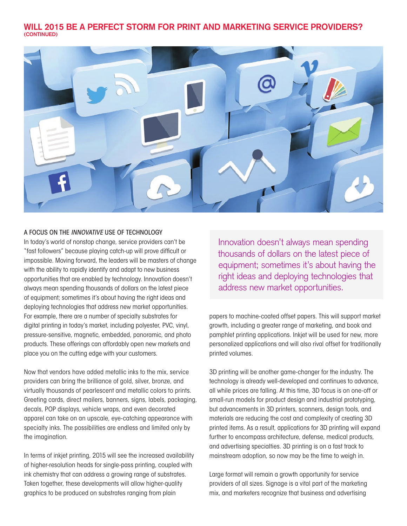## **WILL 2015 BE A PERFECT STORM FOR PRINT AND MARKETING SERVICE PROVIDERS? (CONTINUED)**



## A FOCUS ON THE INNOVATIVE USE OF TECHNOLOGY

In today's world of nonstop change, service providers can't be "fast followers" because playing catch-up will prove difficult or impossible. Moving forward, the leaders will be masters of change with the ability to rapidly identify and adapt to new business opportunities that are enabled by technology. Innovation doesn't always mean spending thousands of dollars on the latest piece of equipment; sometimes it's about having the right ideas and deploying technologies that address new market opportunities. For example, there are a number of specialty substrates for digital printing in today's market, including polyester, PVC, vinyl, pressure-sensitive, magnetic, embedded, panoramic, and photo products. These offerings can affordably open new markets and place you on the cutting edge with your customers.

Now that vendors have added metallic inks to the mix, service providers can bring the brilliance of gold, silver, bronze, and virtually thousands of pearlescent and metallic colors to prints. Greeting cards, direct mailers, banners, signs, labels, packaging, decals, POP displays, vehicle wraps, and even decorated apparel can take on an upscale, eye-catching appearance with specialty inks. The possibilities are endless and limited only by the imagination.

In terms of inkjet printing, 2015 will see the increased availability of higher-resolution heads for single-pass printing, coupled with ink chemistry that can address a growing range of substrates. Taken together, these developments will allow higher-quality graphics to be produced on substrates ranging from plain

Innovation doesn't always mean spending thousands of dollars on the latest piece of equipment; sometimes it's about having the right ideas and deploying technologies that address new market opportunities.

papers to machine-coated offset papers. This will support market growth, including a greater range of marketing, and book and pamphlet printing applications. Inkjet will be used for new, more personalized applications and will also rival offset for traditionally printed volumes.

3D printing will be another game-changer for the industry. The technology is already well-developed and continues to advance, all while prices are falling. At this time, 3D focus is on one-off or small-run models for product design and industrial prototyping, but advancements in 3D printers, scanners, design tools, and materials are reducing the cost and complexity of creating 3D printed items. As a result, applications for 3D printing will expand further to encompass architecture, defense, medical products, and advertising specialties. 3D printing is on a fast track to mainstream adoption, so now may be the time to weigh in.

Large format will remain a growth opportunity for service providers of all sizes. Signage is a vital part of the marketing mix, and marketers recognize that business and advertising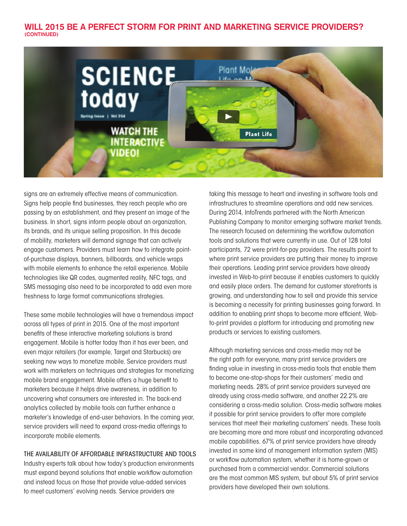## **WILL 2015 BE A PERFECT STORM FOR PRINT AND MARKETING SERVICE PROVIDERS? (CONTINUED)**



signs are an extremely effective means of communication. Signs help people find businesses, they reach people who are passing by an establishment, and they present an image of the business. In short, signs inform people about an organization, its brands, and its unique selling proposition. In this decade of mobility, marketers will demand signage that can actively engage customers. Providers must learn how to integrate pointof-purchase displays, banners, billboards, and vehicle wraps with mobile elements to enhance the retail experience. Mobile technologies like QR codes, augmented reality, NFC tags, and SMS messaging also need to be incorporated to add even more freshness to large format communications strategies.

These same mobile technologies will have a tremendous impact across all types of print in 2015. One of the most important benefits of these interactive marketing solutions is brand engagement. Mobile is hotter today than it has ever been, and even major retailers (for example, Target and Starbucks) are seeking new ways to monetize mobile. Service providers must work with marketers on techniques and strategies for monetizing mobile brand engagement. Mobile offers a huge benefit to marketers because it helps drive awareness, in addition to uncovering what consumers are interested in. The back-end analytics collected by mobile tools can further enhance a marketer's knowledge of end-user behaviors. In the coming year, service providers will need to expand cross-media offerings to incorporate mobile elements.

#### THE AVAILABILITY OF AFFORDABLE INFRASTRUCTURE AND TOOLS

Industry experts talk about how today's production environments must expand beyond solutions that enable workflow automation and instead focus on those that provide value-added services to meet customers' evolving needs. Service providers are

taking this message to heart and investing in software tools and infrastructures to streamline operations and add new services. During 2014, InfoTrends partnered with the North American Publishing Company to monitor emerging software market trends. The research focused on determining the workflow automation tools and solutions that were currently in use. Out of 128 total participants, 72 were print-for-pay providers. The results point to where print service providers are putting their money to improve their operations. Leading print service providers have already invested in Web-to-print because it enables customers to quickly and easily place orders. The demand for customer storefronts is growing, and understanding how to sell and provide this service is becoming a necessity for printing businesses going forward. In addition to enabling print shops to become more efficient, Webto-print provides a platform for introducing and promoting new products or services to existing customers.

Although marketing services and cross-media may not be the right path for everyone, many print service providers are finding value in investing in cross-media tools that enable them to become one-stop-shops for their customers' media and marketing needs. 28% of print service providers surveyed are already using cross-media software, and another 22.2% are considering a cross-media solution. Cross-media software makes it possible for print service providers to offer more complete services that meet their marketing customers' needs. These tools are becoming more and more robust and incorporating advanced mobile capabilities. 67% of print service providers have already invested in some kind of management information system (MIS) or workflow automation system, whether it is home-grown or purchased from a commercial vendor. Commercial solutions are the most common MIS system, but about 5% of print service providers have developed their own solutions.